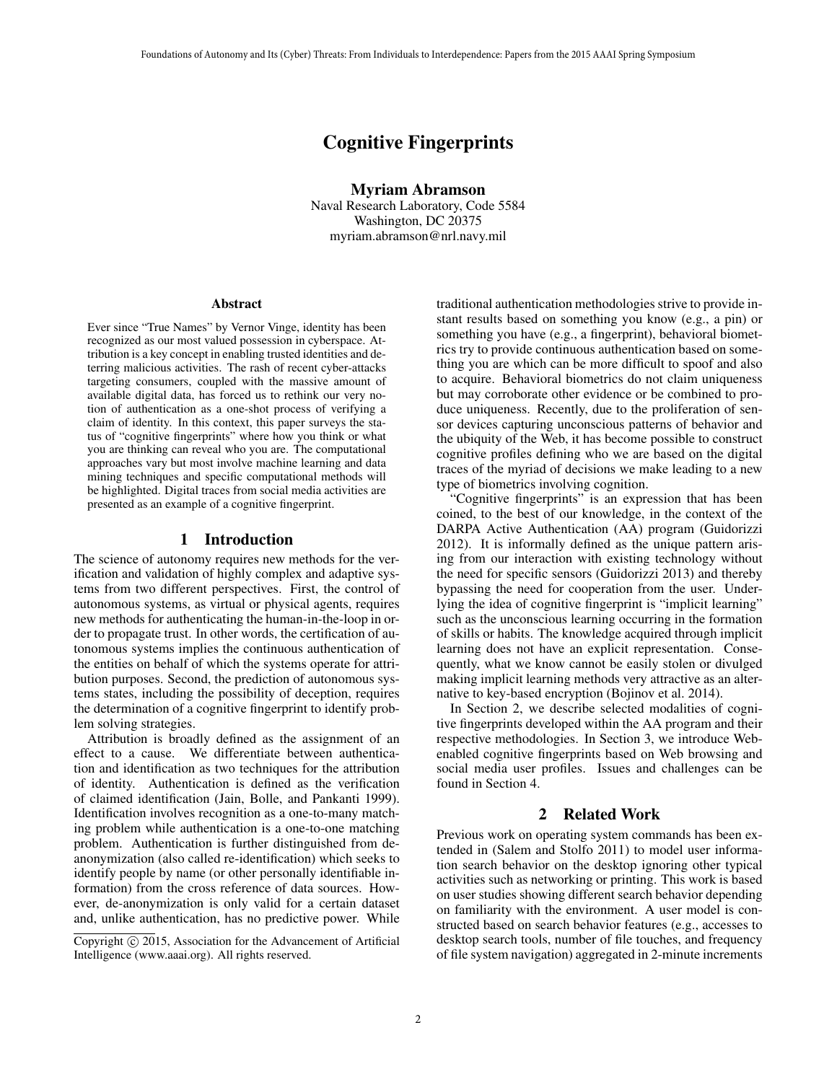# Cognitive Fingerprints

Myriam Abramson

Naval Research Laboratory, Code 5584 Washington, DC 20375 myriam.abramson@nrl.navy.mil

#### Abstract

Ever since "True Names" by Vernor Vinge, identity has been recognized as our most valued possession in cyberspace. Attribution is a key concept in enabling trusted identities and deterring malicious activities. The rash of recent cyber-attacks targeting consumers, coupled with the massive amount of available digital data, has forced us to rethink our very notion of authentication as a one-shot process of verifying a claim of identity. In this context, this paper surveys the status of "cognitive fingerprints" where how you think or what you are thinking can reveal who you are. The computational approaches vary but most involve machine learning and data mining techniques and specific computational methods will be highlighted. Digital traces from social media activities are presented as an example of a cognitive fingerprint.

#### 1 Introduction

The science of autonomy requires new methods for the verification and validation of highly complex and adaptive systems from two different perspectives. First, the control of autonomous systems, as virtual or physical agents, requires new methods for authenticating the human-in-the-loop in order to propagate trust. In other words, the certification of autonomous systems implies the continuous authentication of the entities on behalf of which the systems operate for attribution purposes. Second, the prediction of autonomous systems states, including the possibility of deception, requires the determination of a cognitive fingerprint to identify problem solving strategies.

Attribution is broadly defined as the assignment of an effect to a cause. We differentiate between authentication and identification as two techniques for the attribution of identity. Authentication is defined as the verification of claimed identification (Jain, Bolle, and Pankanti 1999). Identification involves recognition as a one-to-many matching problem while authentication is a one-to-one matching problem. Authentication is further distinguished from deanonymization (also called re-identification) which seeks to identify people by name (or other personally identifiable information) from the cross reference of data sources. However, de-anonymization is only valid for a certain dataset and, unlike authentication, has no predictive power. While

traditional authentication methodologies strive to provide instant results based on something you know (e.g., a pin) or something you have (e.g., a fingerprint), behavioral biometrics try to provide continuous authentication based on something you are which can be more difficult to spoof and also to acquire. Behavioral biometrics do not claim uniqueness but may corroborate other evidence or be combined to produce uniqueness. Recently, due to the proliferation of sensor devices capturing unconscious patterns of behavior and the ubiquity of the Web, it has become possible to construct cognitive profiles defining who we are based on the digital traces of the myriad of decisions we make leading to a new type of biometrics involving cognition.

"Cognitive fingerprints" is an expression that has been coined, to the best of our knowledge, in the context of the DARPA Active Authentication (AA) program (Guidorizzi 2012). It is informally defined as the unique pattern arising from our interaction with existing technology without the need for specific sensors (Guidorizzi 2013) and thereby bypassing the need for cooperation from the user. Underlying the idea of cognitive fingerprint is "implicit learning" such as the unconscious learning occurring in the formation of skills or habits. The knowledge acquired through implicit learning does not have an explicit representation. Consequently, what we know cannot be easily stolen or divulged making implicit learning methods very attractive as an alternative to key-based encryption (Bojinov et al. 2014).

In Section 2, we describe selected modalities of cognitive fingerprints developed within the AA program and their respective methodologies. In Section 3, we introduce Webenabled cognitive fingerprints based on Web browsing and social media user profiles. Issues and challenges can be found in Section 4.

#### 2 Related Work

Previous work on operating system commands has been extended in (Salem and Stolfo 2011) to model user information search behavior on the desktop ignoring other typical activities such as networking or printing. This work is based on user studies showing different search behavior depending on familiarity with the environment. A user model is constructed based on search behavior features (e.g., accesses to desktop search tools, number of file touches, and frequency of file system navigation) aggregated in 2-minute increments

Copyright  $\odot$  2015, Association for the Advancement of Artificial Intelligence (www.aaai.org). All rights reserved.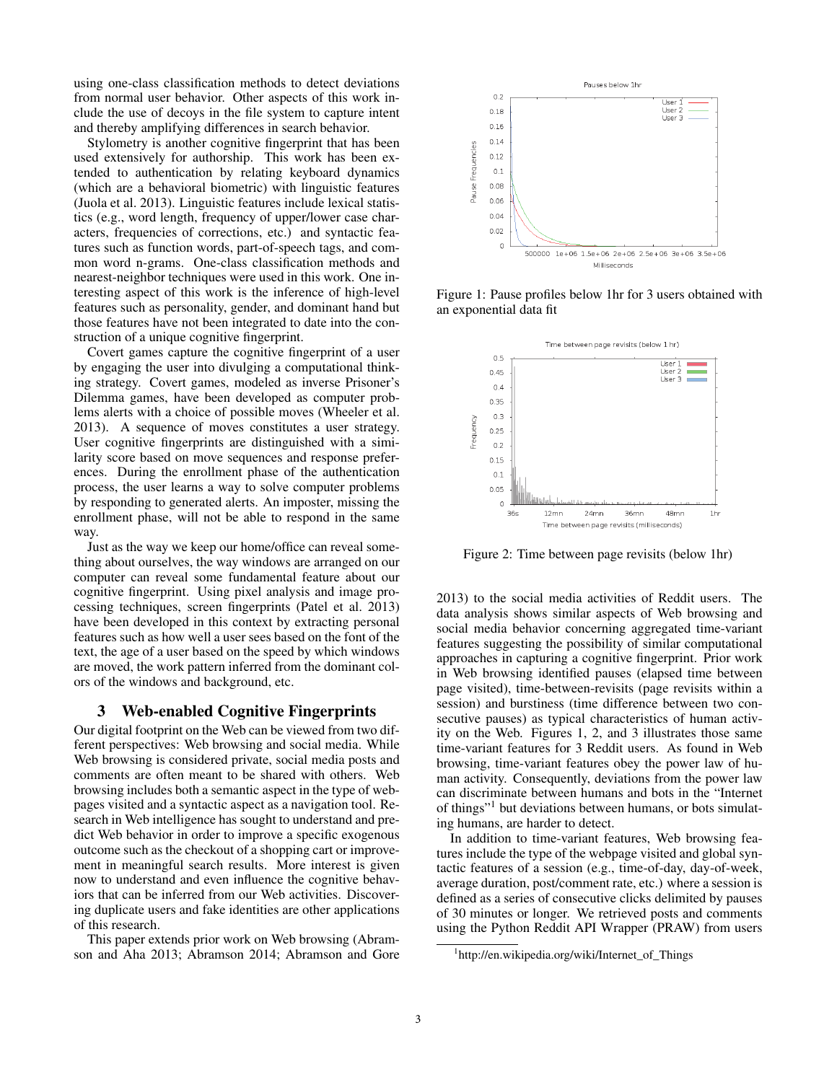using one-class classification methods to detect deviations from normal user behavior. Other aspects of this work include the use of decoys in the file system to capture intent and thereby amplifying differences in search behavior.

Stylometry is another cognitive fingerprint that has been used extensively for authorship. This work has been extended to authentication by relating keyboard dynamics (which are a behavioral biometric) with linguistic features (Juola et al. 2013). Linguistic features include lexical statistics (e.g., word length, frequency of upper/lower case characters, frequencies of corrections, etc.) and syntactic features such as function words, part-of-speech tags, and common word n-grams. One-class classification methods and nearest-neighbor techniques were used in this work. One interesting aspect of this work is the inference of high-level features such as personality, gender, and dominant hand but those features have not been integrated to date into the construction of a unique cognitive fingerprint.

Covert games capture the cognitive fingerprint of a user by engaging the user into divulging a computational thinking strategy. Covert games, modeled as inverse Prisoner's Dilemma games, have been developed as computer problems alerts with a choice of possible moves (Wheeler et al. 2013). A sequence of moves constitutes a user strategy. User cognitive fingerprints are distinguished with a similarity score based on move sequences and response preferences. During the enrollment phase of the authentication process, the user learns a way to solve computer problems by responding to generated alerts. An imposter, missing the enrollment phase, will not be able to respond in the same way.

Just as the way we keep our home/office can reveal something about ourselves, the way windows are arranged on our computer can reveal some fundamental feature about our cognitive fingerprint. Using pixel analysis and image processing techniques, screen fingerprints (Patel et al. 2013) have been developed in this context by extracting personal features such as how well a user sees based on the font of the text, the age of a user based on the speed by which windows are moved, the work pattern inferred from the dominant colors of the windows and background, etc.

### 3 Web-enabled Cognitive Fingerprints

Our digital footprint on the Web can be viewed from two different perspectives: Web browsing and social media. While Web browsing is considered private, social media posts and comments are often meant to be shared with others. Web browsing includes both a semantic aspect in the type of webpages visited and a syntactic aspect as a navigation tool. Research in Web intelligence has sought to understand and predict Web behavior in order to improve a specific exogenous outcome such as the checkout of a shopping cart or improvement in meaningful search results. More interest is given now to understand and even influence the cognitive behaviors that can be inferred from our Web activities. Discovering duplicate users and fake identities are other applications of this research.

This paper extends prior work on Web browsing (Abramson and Aha 2013; Abramson 2014; Abramson and Gore



Figure 1: Pause profiles below 1hr for 3 users obtained with an exponential data fit



Figure 2: Time between page revisits (below 1hr)

2013) to the social media activities of Reddit users. The data analysis shows similar aspects of Web browsing and social media behavior concerning aggregated time-variant features suggesting the possibility of similar computational approaches in capturing a cognitive fingerprint. Prior work in Web browsing identified pauses (elapsed time between page visited), time-between-revisits (page revisits within a session) and burstiness (time difference between two consecutive pauses) as typical characteristics of human activity on the Web. Figures 1, 2, and 3 illustrates those same time-variant features for 3 Reddit users. As found in Web browsing, time-variant features obey the power law of human activity. Consequently, deviations from the power law can discriminate between humans and bots in the "Internet of things"1 but deviations between humans, or bots simulating humans, are harder to detect.

In addition to time-variant features, Web browsing features include the type of the webpage visited and global syntactic features of a session (e.g., time-of-day, day-of-week, average duration, post/comment rate, etc.) where a session is defined as a series of consecutive clicks delimited by pauses of 30 minutes or longer. We retrieved posts and comments using the Python Reddit API Wrapper (PRAW) from users

<sup>1</sup> http://en.wikipedia.org/wiki/Internet\_of\_Things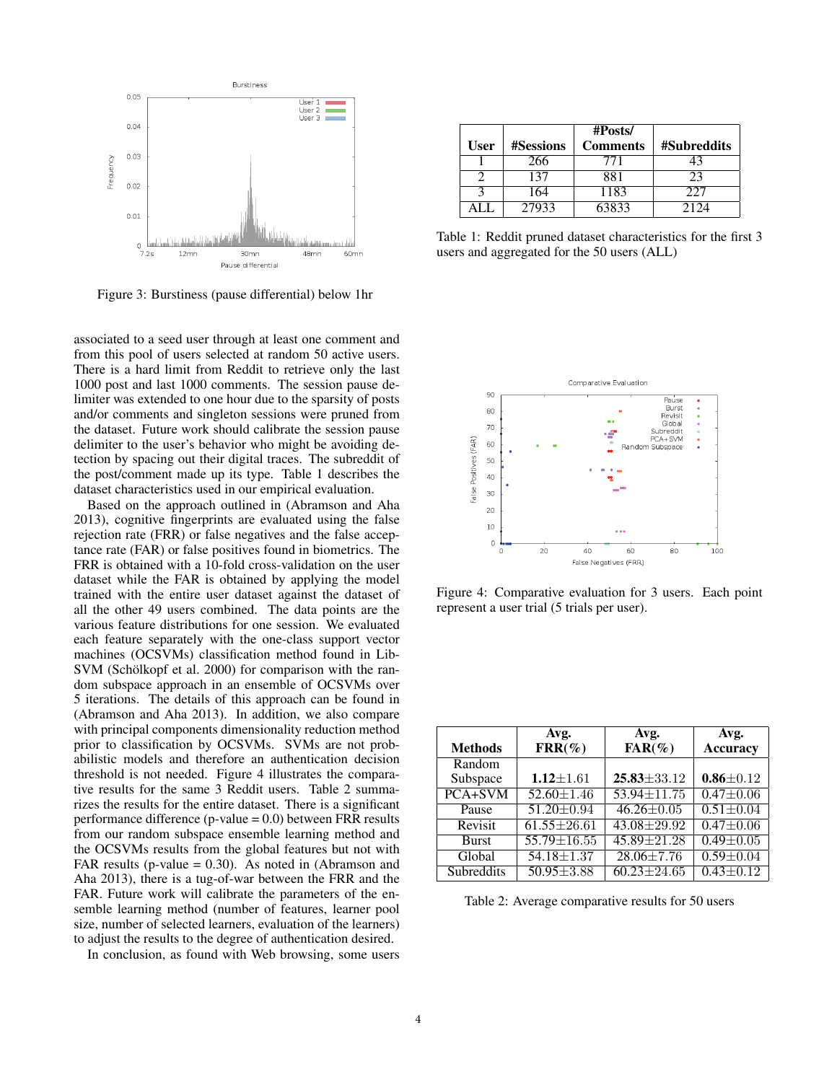

Figure 3: Burstiness (pause differential) below 1hr

associated to a seed user through at least one comment and from this pool of users selected at random 50 active users. There is a hard limit from Reddit to retrieve only the last 1000 post and last 1000 comments. The session pause delimiter was extended to one hour due to the sparsity of posts and/or comments and singleton sessions were pruned from the dataset. Future work should calibrate the session pause delimiter to the user's behavior who might be avoiding detection by spacing out their digital traces. The subreddit of the post/comment made up its type. Table 1 describes the dataset characteristics used in our empirical evaluation.

Based on the approach outlined in (Abramson and Aha 2013), cognitive fingerprints are evaluated using the false rejection rate (FRR) or false negatives and the false acceptance rate (FAR) or false positives found in biometrics. The FRR is obtained with a 10-fold cross-validation on the user dataset while the FAR is obtained by applying the model trained with the entire user dataset against the dataset of all the other 49 users combined. The data points are the various feature distributions for one session. We evaluated each feature separately with the one-class support vector machines (OCSVMs) classification method found in Lib-SVM (Schölkopf et al. 2000) for comparison with the random subspace approach in an ensemble of OCSVMs over 5 iterations. The details of this approach can be found in (Abramson and Aha 2013). In addition, we also compare with principal components dimensionality reduction method prior to classification by OCSVMs. SVMs are not probabilistic models and therefore an authentication decision threshold is not needed. Figure 4 illustrates the comparative results for the same 3 Reddit users. Table 2 summarizes the results for the entire dataset. There is a significant performance difference (p-value  $= 0.0$ ) between FRR results from our random subspace ensemble learning method and the OCSVMs results from the global features but not with FAR results (p-value  $= 0.30$ ). As noted in (Abramson and Aha 2013), there is a tug-of-war between the FRR and the FAR. Future work will calibrate the parameters of the ensemble learning method (number of features, learner pool size, number of selected learners, evaluation of the learners) to adjust the results to the degree of authentication desired.

In conclusion, as found with Web browsing, some users

|             |                  | #Posts/         |             |
|-------------|------------------|-----------------|-------------|
| <b>User</b> | <b>#Sessions</b> | <b>Comments</b> | #Subreddits |
|             | 266              | 771             |             |
|             | 137              | 881             | 23          |
|             | 164              | 1183            | 227         |
|             | 27933            | 63833           | 2124        |

Table 1: Reddit pruned dataset characteristics for the first 3 users and aggregated for the 50 users (ALL)



Figure 4: Comparative evaluation for 3 users. Each point represent a user trial (5 trials per user).

| <b>Methods</b> | Avg.<br>$\text{FRR}(\%)$    | Avg.<br>$FAR(\%)$ | Avg.<br><b>Accuracy</b> |
|----------------|-----------------------------|-------------------|-------------------------|
| Random         |                             |                   |                         |
| Subspace       | $1.12 \pm 1.61$             | $25.83 \pm 33.12$ | $0.86 \pm 0.12$         |
| $PCA+SVM$      | $\overline{52.60 \pm 1.46}$ | 53.94±11.75       | $0.47 \pm 0.06$         |
| Pause          | $\overline{51.20} \pm 0.94$ | $46.26 \pm 0.05$  | $0.51 \pm 0.04$         |
| Revisit        | $61.55 \pm 26.61$           | $43.08 \pm 29.92$ | $0.47 \pm 0.06$         |
| <b>Burst</b>   | 55.79±16.55                 | $45.89 + 21.28$   | $0.49 \pm 0.05$         |
| Global         | $54.18 \pm 1.37$            | $28.06 \pm 7.76$  | $0.59 \pm 0.04$         |
| Subreddits     | $50.95 \pm 3.88$            | $60.23 \pm 24.65$ | $0.43 \pm 0.12$         |

Table 2: Average comparative results for 50 users